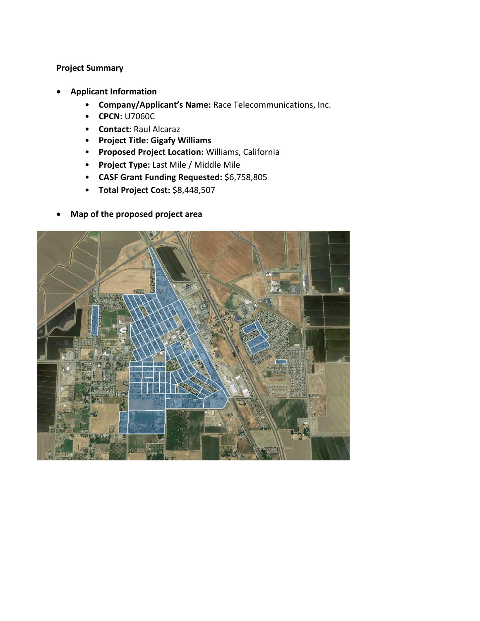## **Project Summary**

- **Applicant Information**
	- **Company/Applicant's Name:** Race Telecommunications, Inc.
	- **CPCN:** U7060C
	- **Contact:** Raul Alcaraz
	- **Project Title: Gigafy Williams**
	- **Proposed Project Location:** Williams, California
	- **Project Type:** Last Mile / Middle Mile
	- **CASF Grant Funding Requested:** \$6,758,805
	- **Total Project Cost:** \$8,448,507
- **Map of the proposed project area**

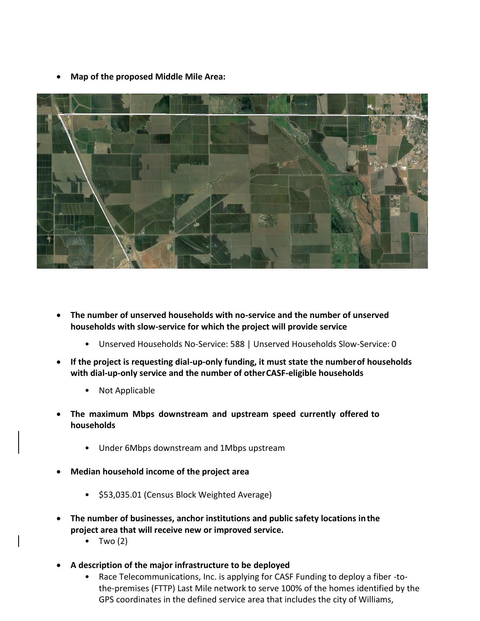• **Map of the proposed Middle Mile Area:**



- **The number of unserved households with no-service and the number of unserved households with slow-service for which the project will provide service**
	- Unserved Households No-Service: 588 | Unserved Households Slow-Service: 0
- **If the project is requesting dial-up-only funding, it must state the numberof households with dial-up-only service and the number of otherCASF-eligible households**
	- Not Applicable
- **The maximum Mbps downstream and upstream speed currently offered to households**
	- Under 6Mbps downstream and 1Mbps upstream
- **Median household income of the project area**
	- \$53,035.01 (Census Block Weighted Average)
- **The number of businesses, anchor institutions and public safety locations inthe project area that will receive new or improved service.**
	- Two  $(2)$
- **A description of the major infrastructure to be deployed**
	- Race Telecommunications, Inc. is applying for CASF Funding to deploy a fiber -tothe-premises (FTTP) Last Mile network to serve 100% of the homes identified by the GPS coordinates in the defined service area that includes the city of Williams,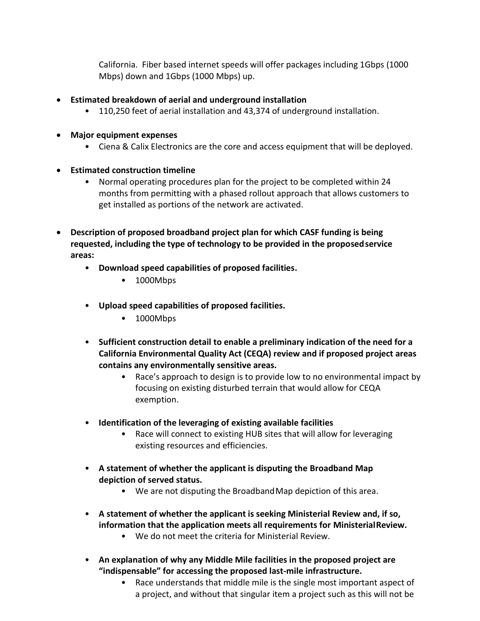California. Fiber based internet speeds will offer packages including 1Gbps (1000 Mbps) down and 1Gbps (1000 Mbps) up.

- **Estimated breakdown of aerial and underground installation**
	- 110,250 feet of aerial installation and 43,374 of underground installation.
- **Major equipment expenses**
	- Ciena & Calix Electronics are the core and access equipment that will be deployed.
- **Estimated construction timeline**
	- Normal operating procedures plan for the project to be completed within 24 months from permitting with a phased rollout approach that allows customers to get installed as portions of the network are activated.
- **Description of proposed broadband project plan for which CASF funding is being requested, including the type of technology to be provided in the proposedservice areas:**
	- **Download speed capabilities of proposed facilities.**
		- 1000Mbps
	- **Upload speed capabilities of proposed facilities.**
		- 1000Mbps
	- **Sufficient construction detail to enable a preliminary indication of the need for a California Environmental Quality Act (CEQA) review and if proposed project areas contains any environmentally sensitive areas.**
		- Race's approach to design is to provide low to no environmental impact by focusing on existing disturbed terrain that would allow for CEQA exemption.
	- **Identification of the leveraging of existing available facilities**
		- Race will connect to existing HUB sites that will allow for leveraging existing resources and efficiencies.
	- **A statement of whether the applicant is disputing the Broadband Map depiction of served status.**
		- We are not disputing the BroadbandMap depiction of this area.
	- **A statement of whether the applicant is seeking Ministerial Review and, if so, information that the application meets all requirements for MinisterialReview.**
		- We do not meet the criteria for Ministerial Review.
	- **An explanation of why any Middle Mile facilities in the proposed project are "indispensable" for accessing the proposed last-mile infrastructure.**
		- Race understands that middle mile is the single most important aspect of a project, and without that singular item a project such as this will not be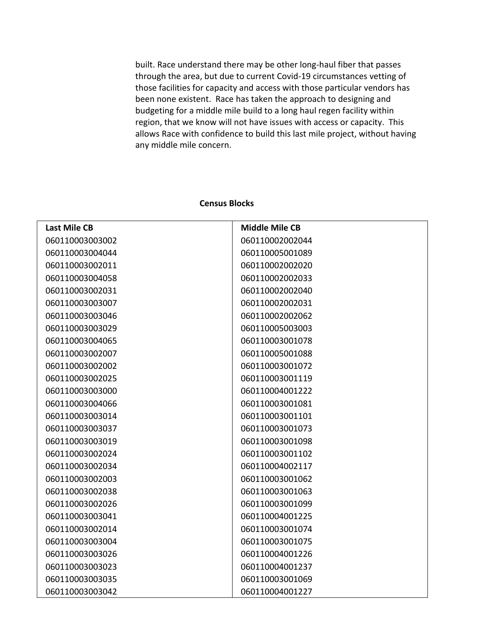built. Race understand there may be other long-haul fiber that passes through the area, but due to current Covid-19 circumstances vetting of those facilities for capacity and access with those particular vendors has been none existent. Race has taken the approach to designing and budgeting for a middle mile build to a long haul regen facility within region, that we know will not have issues with access or capacity. This allows Race with confidence to build this last mile project, without having any middle mile concern.

## **Last Mile CB Middle Mile CB**

## **Census Blocks**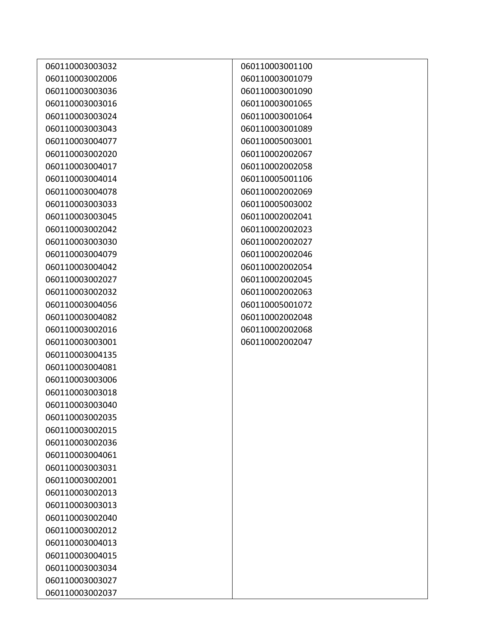| 060110003003032 | 060110003001100 |
|-----------------|-----------------|
| 060110003002006 | 060110003001079 |
| 060110003003036 | 060110003001090 |
| 060110003003016 | 060110003001065 |
| 060110003003024 | 060110003001064 |
| 060110003003043 | 060110003001089 |
| 060110003004077 | 060110005003001 |
| 060110003002020 | 060110002002067 |
| 060110003004017 | 060110002002058 |
| 060110003004014 | 060110005001106 |
| 060110003004078 | 060110002002069 |
| 060110003003033 | 060110005003002 |
| 060110003003045 | 060110002002041 |
| 060110003002042 | 060110002002023 |
| 060110003003030 | 060110002002027 |
| 060110003004079 | 060110002002046 |
| 060110003004042 | 060110002002054 |
| 060110003002027 | 060110002002045 |
| 060110003002032 | 060110002002063 |
| 060110003004056 | 060110005001072 |
| 060110003004082 | 060110002002048 |
| 060110003002016 | 060110002002068 |
| 060110003003001 | 060110002002047 |
| 060110003004135 |                 |
| 060110003004081 |                 |
| 060110003003006 |                 |
| 060110003003018 |                 |
| 060110003003040 |                 |
| 060110003002035 |                 |
| 060110003002015 |                 |
| 060110003002036 |                 |
| 060110003004061 |                 |
| 060110003003031 |                 |
| 060110003002001 |                 |
| 060110003002013 |                 |
| 060110003003013 |                 |
| 060110003002040 |                 |
| 060110003002012 |                 |
| 060110003004013 |                 |
| 060110003004015 |                 |
| 060110003003034 |                 |
| 060110003003027 |                 |
| 060110003002037 |                 |